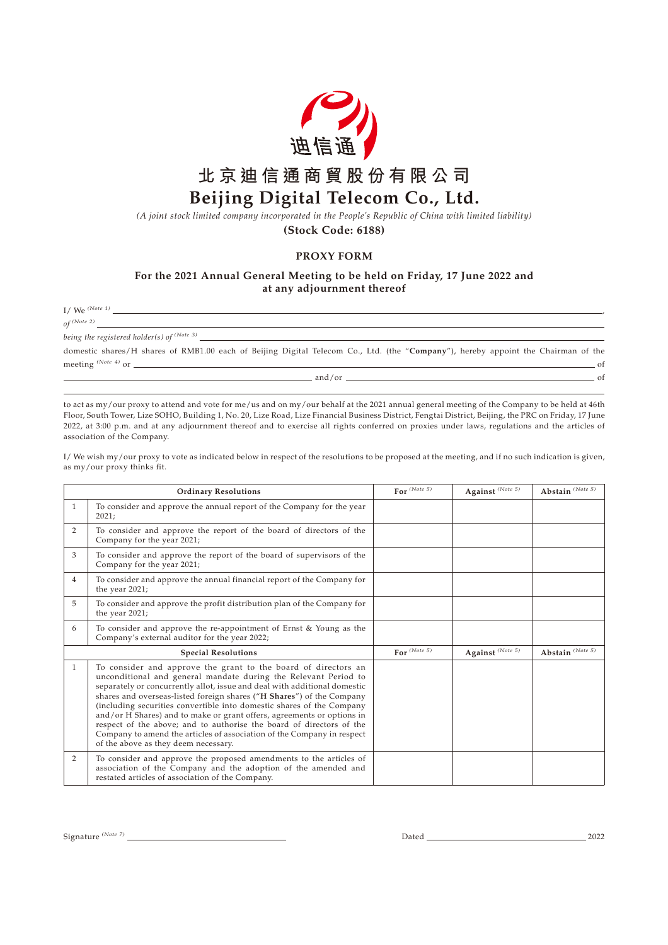

## **北京迪信通商貿股份有限公司 Beijing Digital Telecom Co., Ltd.**

*(A joint stock limited company incorporated in the People's Republic of China with limited liability)*

**(Stock Code: 6188)**

## **PROXY FORM**

## **For the 2021 Annual General Meeting to be held on Friday, 17 June 2022 and at any adjournment thereof**

 $I /$  We  $(Note 1)$ 

*of (Note 2)*

*being the registered holder(s) of (Note 3)*

domestic shares/H shares of RMB1.00 each of Beijing Digital Telecom Co., Ltd. (the "**Company**"), hereby appoint the Chairman of the meeting  $(Note 4)$  or  $\qquad \qquad$  of

 $and/or$   $and/or$ 

to act as my/our proxy to attend and vote for me/us and on my/our behalf at the 2021 annual general meeting of the Company to be held at 46th Floor, South Tower, Lize SOHO, Building 1, No. 20, Lize Road, Lize Financial Business District, Fengtai District, Beijing, the PRC on Friday, 17 June 2022, at 3:00 p.m. and at any adjournment thereof and to exercise all rights conferred on proxies under laws, regulations and the articles of association of the Company.

I/ We wish my/our proxy to vote as indicated below in respect of the resolutions to be proposed at the meeting, and if no such indication is given, as my/our proxy thinks fit.

| <b>Ordinary Resolutions</b> |                                                                                                                                                                                                                                                                                                                                                                                                                                                                                                                                                                                                                                      | For $^{(Note 5)}$ | Against (Note 5)                    | Abstain (Note 5)                    |
|-----------------------------|--------------------------------------------------------------------------------------------------------------------------------------------------------------------------------------------------------------------------------------------------------------------------------------------------------------------------------------------------------------------------------------------------------------------------------------------------------------------------------------------------------------------------------------------------------------------------------------------------------------------------------------|-------------------|-------------------------------------|-------------------------------------|
| $\mathbf{1}$                | To consider and approve the annual report of the Company for the year<br>2021;                                                                                                                                                                                                                                                                                                                                                                                                                                                                                                                                                       |                   |                                     |                                     |
| $\overline{2}$              | To consider and approve the report of the board of directors of the<br>Company for the year 2021;                                                                                                                                                                                                                                                                                                                                                                                                                                                                                                                                    |                   |                                     |                                     |
| 3                           | To consider and approve the report of the board of supervisors of the<br>Company for the year 2021;                                                                                                                                                                                                                                                                                                                                                                                                                                                                                                                                  |                   |                                     |                                     |
| $\overline{4}$              | To consider and approve the annual financial report of the Company for<br>the year 2021;                                                                                                                                                                                                                                                                                                                                                                                                                                                                                                                                             |                   |                                     |                                     |
| 5                           | To consider and approve the profit distribution plan of the Company for<br>the year 2021;                                                                                                                                                                                                                                                                                                                                                                                                                                                                                                                                            |                   |                                     |                                     |
| 6                           | To consider and approve the re-appointment of Ernst & Young as the<br>Company's external auditor for the year 2022;                                                                                                                                                                                                                                                                                                                                                                                                                                                                                                                  |                   |                                     |                                     |
| <b>Special Resolutions</b>  |                                                                                                                                                                                                                                                                                                                                                                                                                                                                                                                                                                                                                                      | For $(Note\ 5)$   | Against $^{\left( Note\ 5\right) }$ | Abstain $^{\left( Note\ 5\right) }$ |
| $\mathbf{1}$                | To consider and approve the grant to the board of directors an<br>unconditional and general mandate during the Relevant Period to<br>separately or concurrently allot, issue and deal with additional domestic<br>shares and overseas-listed foreign shares ("H Shares") of the Company<br>(including securities convertible into domestic shares of the Company<br>and/or H Shares) and to make or grant offers, agreements or options in<br>respect of the above; and to authorise the board of directors of the<br>Company to amend the articles of association of the Company in respect<br>of the above as they deem necessary. |                   |                                     |                                     |
| 2                           | To consider and approve the proposed amendments to the articles of<br>association of the Company and the adoption of the amended and<br>restated articles of association of the Company.                                                                                                                                                                                                                                                                                                                                                                                                                                             |                   |                                     |                                     |